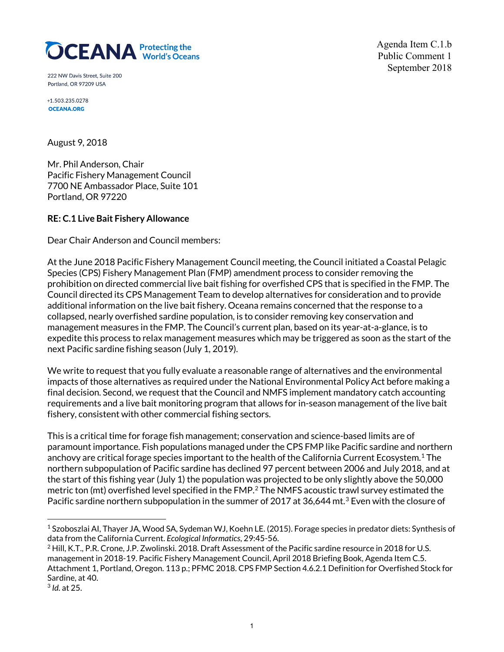

Agenda Item C.1.b Public Comment 1 September 2018

222 NW Davis Street, Suite 200 Portland, OR 97209 USA

+1.503.235.0278 **OCEANA.ORG** 

August 9, 2018

Mr. Phil Anderson, Chair Pacific Fishery Management Council 7700 NE Ambassador Place, Suite 101 Portland, OR 97220

## **RE: C.1 Live Bait Fishery Allowance**

Dear Chair Anderson and Council members:

At the June 2018 Pacific Fishery Management Council meeting, the Council initiated a Coastal Pelagic Species (CPS) Fishery Management Plan (FMP) amendment process to consider removing the prohibition on directed commercial live bait fishing for overfished CPS that is specified in the FMP. The Council directed its CPS Management Team to develop alternatives for consideration and to provide additional information on the live bait fishery. Oceana remains concerned that the response to a collapsed, nearly overfished sardine population, is to consider removing key conservation and management measures in the FMP. The Council's current plan, based on its year-at-a-glance, is to expedite this process to relax management measures which may be triggered as soon as the start of the next Pacific sardine fishing season (July 1, 2019).

We write to request that you fully evaluate a reasonable range of alternatives and the environmental impacts of those alternatives as required under the National Environmental Policy Act before making a final decision. Second, we request that the Council and NMFS implement mandatory catch accounting requirements and a live bait monitoring program that allows for in-season management of the live bait fishery, consistent with other commercial fishing sectors.

This is a critical time for forage fish management; conservation and science-based limits are of paramount importance. Fish populations managed under the CPS FMP like Pacific sardine and northern anchovy are critical forage species important to the health of the California Current Ecosystem.[1](#page-0-0) The northern subpopulation of Pacific sardine has declined 97 percent between 2006 and July 2018, and at the start of this fishing year (July 1) the population was projected to be only slightly above the 50,000 metric ton (mt) overfished level specified in the FMP.<sup>[2](#page-0-1)</sup> The NMFS acoustic trawl survey estimated the Pacific sardine northern subpopulation in the summer of 2017 at [3](#page-0-2)6,644 mt.<sup>3</sup> Even with the closure of

<span id="page-0-0"></span><sup>1</sup> Szoboszlai AI, Thayer JA, Wood SA, Sydeman WJ, Koehn LE. (2015). Forage species in predator diets: Synthesis of data from the California Current. *Ecological Informatics*, 29:45-56.

<span id="page-0-1"></span><sup>&</sup>lt;sup>2</sup> Hill, K.T., P.R. Crone, J.P. Zwolinski. 2018. Draft Assessment of the Pacific sardine resource in 2018 for U.S. management in 2018-19. Pacific Fishery Management Council, April 2018 Briefing Book, Agenda Item C.5. Attachment 1, Portland, Oregon. 113 p.; PFMC 2018. CPS FMP Section 4.6.2.1 Definition for Overfished Stock for Sardine, at 40.

<span id="page-0-2"></span><sup>3</sup> *Id.* at 25.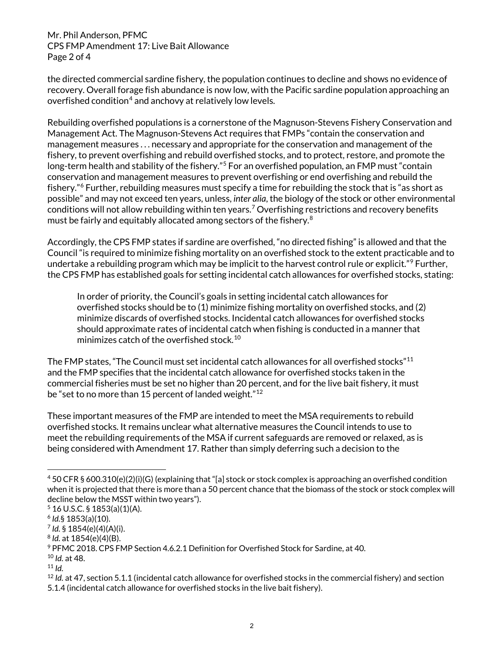Mr. Phil Anderson, PFMC CPS FMP Amendment 17: Live Bait Allowance Page 2 of 4

the directed commercial sardine fishery, the population continues to decline and shows no evidence of recovery. Overall forage fish abundance is now low, with the Pacific sardine population approaching an overfished condition<sup>[4](#page-1-0)</sup> and anchovy at relatively low levels.

Rebuilding overfished populations is a cornerstone of the Magnuson-Stevens Fishery Conservation and Management Act. The Magnuson-Stevens Act requires that FMPs "contain the conservation and management measures . . . necessary and appropriate for the conservation and management of the fishery, to prevent overfishing and rebuild overfished stocks, and to protect, restore, and promote the long-term health and stability of the fishery."<sup>[5](#page-1-1)</sup> For an overfished population, an FMP must "contain conservation and management measures to prevent overfishing or end overfishing and rebuild the fishery."<sup>[6](#page-1-2)</sup> Further, rebuilding measures must specify a time for rebuilding the stock that is "as short as possible" and may not exceed ten years, unless, *inter alia*, the biology of the stock or other environmental conditions will not allow rebuilding within ten years.<sup>[7](#page-1-3)</sup> Overfishing restrictions and recovery benefits must be fairly and equitably allocated among sectors of the fishery.<sup>[8](#page-1-4)</sup>

Accordingly, the CPS FMP states if sardine are overfished, "no directed fishing" is allowed and that the Council "is required to minimize fishing mortality on an overfished stock to the extent practicable and to undertake a rebuilding program which may be implicit to the harvest control rule or explicit."<sup>[9](#page-1-5)</sup> Further, the CPS FMP has established goals for setting incidental catch allowances for overfished stocks, stating:

In order of priority, the Council's goals in setting incidental catch allowances for overfished stocks should be to (1) minimize fishing mortality on overfished stocks, and (2) minimize discards of overfished stocks. Incidental catch allowances for overfished stocks should approximate rates of incidental catch when fishing is conducted in a manner that minimizes catch of the overfished stock.<sup>[10](#page-1-6)</sup>

The FMP states, "The Council must set incidental catch allowances for all overfished stocks"<sup>[11](#page-1-7)</sup> and the FMP specifies that the incidental catch allowance for overfished stocks taken in the commercial fisheries must be set no higher than 20 percent, and for the live bait fishery, it must be "set to no more than 15 percent of landed weight."<sup>[12](#page-1-8)</sup>

These important measures of the FMP are intended to meet the MSA requirements to rebuild overfished stocks. It remains unclear what alternative measures the Council intends to use to meet the rebuilding requirements of the MSA if current safeguards are removed or relaxed, as is being considered with Amendment 17. Rather than simply deferring such a decision to the

<span id="page-1-0"></span><sup>4</sup> 50 CFR § 600.310(e)(2)(i)(G) (explaining that "[a] stock or stock complex is approaching an overfished condition when it is projected that there is more than a 50 percent chance that the biomass of the stock or stock complex will decline below the MSST within two years").

<span id="page-1-1"></span> $5$  16 U.S.C. § 1853(a)(1)(A).

<span id="page-1-2"></span><sup>6</sup> *Id.*§ 1853(a)(10).

<span id="page-1-3"></span><sup>7</sup> *Id.* § 1854(e)(4)(A)(i).

<span id="page-1-4"></span><sup>8</sup> *Id.* at 1854(e)(4)(B).

<span id="page-1-5"></span><sup>9</sup> PFMC 2018. CPS FMP Section 4.6.2.1 Definition for Overfished Stock for Sardine, at 40.

<span id="page-1-6"></span><sup>10</sup> *Id.* at 48.

<span id="page-1-7"></span> $11$  *Id.* 

<span id="page-1-8"></span><sup>12</sup> *Id.* at 47, section 5.1.1 (incidental catch allowance for overfished stocks in the commercial fishery) and section 5.1.4 (incidental catch allowance for overfished stocks in the live bait fishery).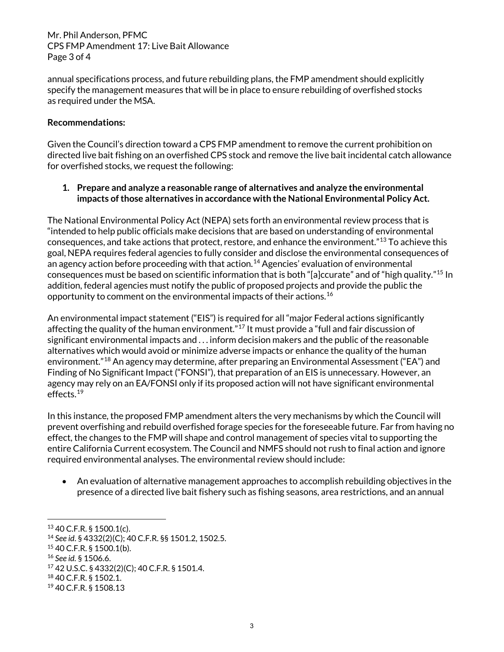Mr. Phil Anderson, PFMC CPS FMP Amendment 17: Live Bait Allowance Page 3 of 4

annual specifications process, and future rebuilding plans, the FMP amendment should explicitly specify the management measures that will be in place to ensure rebuilding of overfished stocks as required under the MSA.

## **Recommendations:**

Given the Council's direction toward a CPS FMP amendment to remove the current prohibition on directed live bait fishing on an overfished CPS stock and remove the live bait incidental catch allowance for overfished stocks, we request the following:

## **1. Prepare and analyze a reasonable range of alternatives and analyze the environmental impacts of those alternatives in accordance with the National Environmental Policy Act.**

The National Environmental Policy Act (NEPA) sets forth an environmental review process that is "intended to help public officials make decisions that are based on understanding of environmental consequences, and take actions that protect, restore, and enhance the environment."[13](#page-2-0) To achieve this goal, NEPA requires federal agencies to fully consider and disclose the environmental consequences of an agency action before proceeding with that action.<sup>[14](#page-2-1)</sup> Agencies' evaluation of environmental consequences must be based on scientific information that is both "[a]ccurate" and of "high quality."[15](#page-2-2) In addition, federal agencies must notify the public of proposed projects and provide the public the opportunity to comment on the environmental impacts of their actions.[16](#page-2-3) 

An environmental impact statement ("EIS") is required for all "major Federal actions significantly affecting the quality of the human environment."<sup>[17](#page-2-4)</sup> It must provide a "full and fair discussion of significant environmental impacts and . . . inform decision makers and the public of the reasonable alternatives which would avoid or minimize adverse impacts or enhance the quality of the human environment.["18](#page-2-5) An agency may determine, after preparing an Environmental Assessment ("EA") and Finding of No Significant Impact ("FONSI"), that preparation of an EIS is unnecessary. However, an agency may rely on an EA/FONSI only if its proposed action will not have significant environmental effects.[19](#page-2-6) 

In this instance, the proposed FMP amendment alters the very mechanisms by which the Council will prevent overfishing and rebuild overfished forage species for the foreseeable future. Far from having no effect, the changes to the FMP will shape and control management of species vital to supporting the entire California Current ecosystem. The Council and NMFS should not rush to final action and ignore required environmental analyses. The environmental review should include:

• An evaluation of alternative management approaches to accomplish rebuilding objectives in the presence of a directed live bait fishery such as fishing seasons, area restrictions, and an annual

 $\overline{a}$ 

<span id="page-2-0"></span><sup>13</sup> 40 C.F.R. § 1500.1(c).

<span id="page-2-1"></span><sup>14</sup> *See id*. § 4332(2)(C); 40 C.F.R. §§ 1501.2, 1502.5.

<span id="page-2-2"></span><sup>15</sup> 40 C.F.R. § 1500.1(b).

<span id="page-2-3"></span><sup>16</sup> *See id.* § 1506.6.

<span id="page-2-4"></span><sup>17</sup> 42 U.S.C. § 4332(2)(C); 40 C.F.R. § 1501.4.

<span id="page-2-5"></span><sup>18</sup> 40 C.F.R. § 1502.1.

<span id="page-2-6"></span><sup>19</sup> 40 C.F.R. § 1508.13